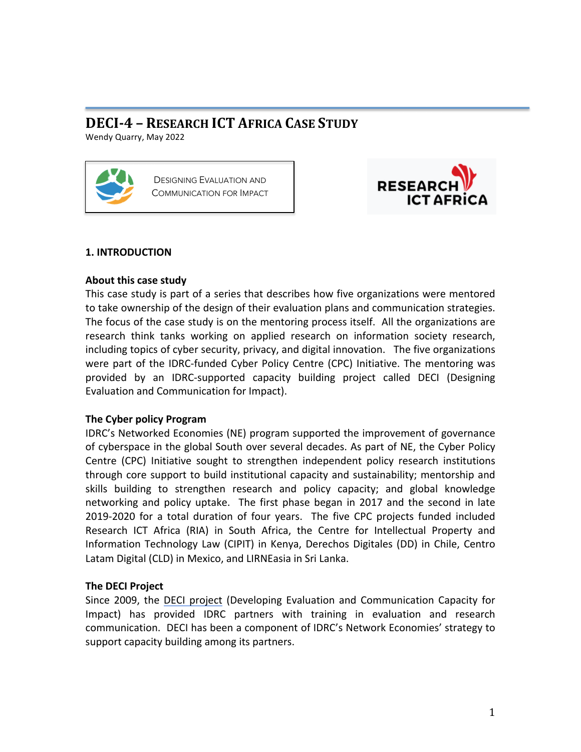# **DECI-4 – RESEARCH ICT AFRICA CASE STUDY**

Wendy Quarry, May 2022





## **1. INTRODUCTION**

## **About this case study**

This case study is part of a series that describes how five organizations were mentored to take ownership of the design of their evaluation plans and communication strategies. The focus of the case study is on the mentoring process itself. All the organizations are research think tanks working on applied research on information society research, including topics of cyber security, privacy, and digital innovation. The five organizations were part of the IDRC-funded Cyber Policy Centre (CPC) Initiative. The mentoring was provided by an IDRC-supported capacity building project called DECI (Designing Evaluation and Communication for Impact).

# **The Cyber policy Program**

IDRC's Networked Economies (NE) program supported the improvement of governance of cyberspace in the global South over several decades. As part of NE, the Cyber Policy Centre (CPC) Initiative sought to strengthen independent policy research institutions through core support to build institutional capacity and sustainability; mentorship and skills building to strengthen research and policy capacity; and global knowledge networking and policy uptake. The first phase began in 2017 and the second in late 2019-2020 for a total duration of four years. The five CPC projects funded included Research ICT Africa (RIA) in South Africa, the Centre for Intellectual Property and Information Technology Law (CIPIT) in Kenya, Derechos Digitales (DD) in Chile, Centro Latam Digital (CLD) in Mexico, and LIRNEasia in Sri Lanka.

# **The DECI Project**

Since 2009, the DECI project (Developing Evaluation and Communication Capacity for Impact) has provided IDRC partners with training in evaluation and research communication. DECI has been a component of IDRC's Network Economies' strategy to support capacity building among its partners.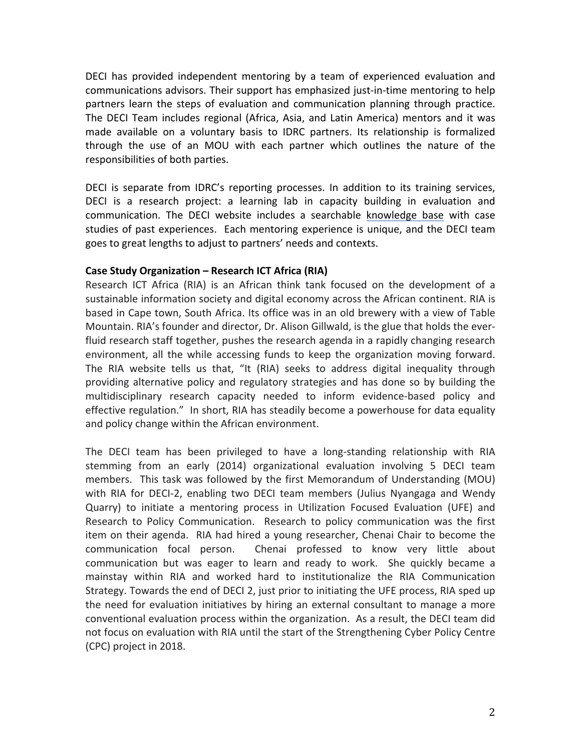DECI has provided independent mentoring by a team of experienced evaluation and communications advisors. Their support has emphasized just-in-time mentoring to help partners learn the steps of evaluation and communication planning through practice. The DECI Team includes regional (Africa, Asia, and Latin America) mentors and it was made available on a voluntary basis to IDRC partners. Its relationship is formalized through the use of an MOU with each partner which outlines the nature of the responsibilities of both parties.

DECI is separate from IDRC's reporting processes. In addition to its training services, DECI is a research project: a learning lab in capacity building in evaluation and communication. The DECI website includes a searchable knowledge base with case studies of past experiences. Each mentoring experience is unique, and the DECI team goes to great lengths to adjust to partners' needs and contexts.

#### **Case Study Organization – Research ICT Africa (RIA)**

Research ICT Africa (RIA) is an African think tank focused on the development of a sustainable information society and digital economy across the African continent. RIA is based in Cape town, South Africa. Its office was in an old brewery with a view of Table Mountain. RIA's founder and director, Dr. Alison Gillwald, is the glue that holds the everfluid research staff together, pushes the research agenda in a rapidly changing research environment, all the while accessing funds to keep the organization moving forward. The RIA website tells us that, "It (RIA) seeks to address digital inequality through providing alternative policy and regulatory strategies and has done so by building the multidisciplinary research capacity needed to inform evidence-based policy and effective regulation." In short, RIA has steadily become a powerhouse for data equality and policy change within the African environment.

The DECI team has been privileged to have a long-standing relationship with RIA stemming from an early (2014) organizational evaluation involving 5 DECI team members. This task was followed by the first Memorandum of Understanding (MOU) with RIA for DECI-2, enabling two DECI team members (Julius Nyangaga and Wendy Quarry) to initiate a mentoring process in Utilization Focused Evaluation (UFE) and Research to Policy Communication. Research to policy communication was the first item on their agenda. RIA had hired a young researcher, Chenai Chair to become the communication focal person. Chenai professed to know very little about communication but was eager to learn and ready to work. She quickly became a mainstay within RIA and worked hard to institutionalize the RIA Communication Strategy. Towards the end of DECI 2, just prior to initiating the UFE process, RIA sped up the need for evaluation initiatives by hiring an external consultant to manage a more conventional evaluation process within the organization. As a result, the DECI team did not focus on evaluation with RIA until the start of the Strengthening Cyber Policy Centre (CPC) project in 2018.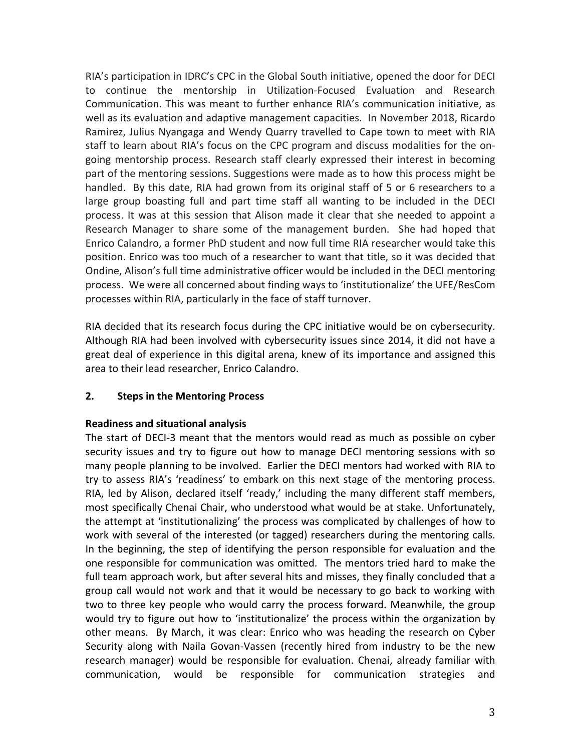RIA's participation in IDRC's CPC in the Global South initiative, opened the door for DECI to continue the mentorship in Utilization-Focused Evaluation and Research Communication. This was meant to further enhance RIA's communication initiative, as well as its evaluation and adaptive management capacities. In November 2018, Ricardo Ramirez, Julius Nyangaga and Wendy Quarry travelled to Cape town to meet with RIA staff to learn about RIA's focus on the CPC program and discuss modalities for the ongoing mentorship process. Research staff clearly expressed their interest in becoming part of the mentoring sessions. Suggestions were made as to how this process might be handled. By this date, RIA had grown from its original staff of 5 or 6 researchers to a large group boasting full and part time staff all wanting to be included in the DECI process. It was at this session that Alison made it clear that she needed to appoint a Research Manager to share some of the management burden. She had hoped that Enrico Calandro, a former PhD student and now full time RIA researcher would take this position. Enrico was too much of a researcher to want that title, so it was decided that Ondine, Alison's full time administrative officer would be included in the DECI mentoring process. We were all concerned about finding ways to 'institutionalize' the UFE/ResCom processes within RIA, particularly in the face of staff turnover.

RIA decided that its research focus during the CPC initiative would be on cybersecurity. Although RIA had been involved with cybersecurity issues since 2014, it did not have a great deal of experience in this digital arena, knew of its importance and assigned this area to their lead researcher, Enrico Calandro.

# **2.** Steps in the Mentoring Process

### **Readiness and situational analysis**

The start of DECI-3 meant that the mentors would read as much as possible on cyber security issues and try to figure out how to manage DECI mentoring sessions with so many people planning to be involved. Earlier the DECI mentors had worked with RIA to try to assess RIA's 'readiness' to embark on this next stage of the mentoring process. RIA, led by Alison, declared itself 'ready,' including the many different staff members, most specifically Chenai Chair, who understood what would be at stake. Unfortunately, the attempt at 'institutionalizing' the process was complicated by challenges of how to work with several of the interested (or tagged) researchers during the mentoring calls. In the beginning, the step of identifying the person responsible for evaluation and the one responsible for communication was omitted. The mentors tried hard to make the full team approach work, but after several hits and misses, they finally concluded that a group call would not work and that it would be necessary to go back to working with two to three key people who would carry the process forward. Meanwhile, the group would try to figure out how to 'institutionalize' the process within the organization by other means. By March, it was clear: Enrico who was heading the research on Cyber Security along with Naila Govan-Vassen (recently hired from industry to be the new research manager) would be responsible for evaluation. Chenai, already familiar with communication, would be responsible for communication strategies and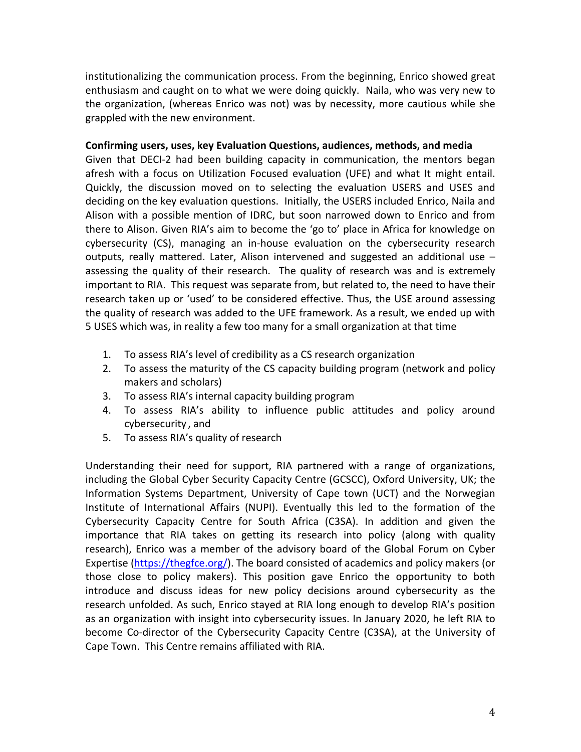institutionalizing the communication process. From the beginning, Enrico showed great enthusiasm and caught on to what we were doing quickly. Naila, who was very new to the organization, (whereas Enrico was not) was by necessity, more cautious while she grappled with the new environment.

#### Confirming users, uses, key Evaluation Questions, audiences, methods, and media

Given that DECI-2 had been building capacity in communication, the mentors began afresh with a focus on Utilization Focused evaluation (UFE) and what It might entail. Quickly, the discussion moved on to selecting the evaluation USERS and USES and deciding on the key evaluation questions. Initially, the USERS included Enrico, Naila and Alison with a possible mention of IDRC, but soon narrowed down to Enrico and from there to Alison. Given RIA's aim to become the 'go to' place in Africa for knowledge on cybersecurity (CS), managing an in-house evaluation on the cybersecurity research outputs, really mattered. Later, Alison intervened and suggested an additional use  $$ assessing the quality of their research. The quality of research was and is extremely important to RIA. This request was separate from, but related to, the need to have their research taken up or 'used' to be considered effective. Thus, the USE around assessing the quality of research was added to the UFE framework. As a result, we ended up with 5 USES which was, in reality a few too many for a small organization at that time

- 1. To assess RIA's level of credibility as a CS research organization
- 2. To assess the maturity of the CS capacity building program (network and policy makers and scholars)
- 3. To assess RIA's internal capacity building program
- 4. To assess RIA's ability to influence public attitudes and policy around cybersecurity, and
- 5. To assess RIA's quality of research

Understanding their need for support, RIA partnered with a range of organizations, including the Global Cyber Security Capacity Centre (GCSCC), Oxford University, UK; the Information Systems Department, University of Cape town (UCT) and the Norwegian Institute of International Affairs (NUPI). Eventually this led to the formation of the Cybersecurity Capacity Centre for South Africa (C3SA). In addition and given the importance that RIA takes on getting its research into policy (along with quality research), Enrico was a member of the advisory board of the Global Forum on Cyber Expertise (https://thegfce.org/). The board consisted of academics and policy makers (or those close to policy makers). This position gave Enrico the opportunity to both introduce and discuss ideas for new policy decisions around cybersecurity as the research unfolded. As such, Enrico stayed at RIA long enough to develop RIA's position as an organization with insight into cybersecurity issues. In January 2020, he left RIA to become Co-director of the Cybersecurity Capacity Centre (C3SA), at the University of Cape Town. This Centre remains affiliated with RIA.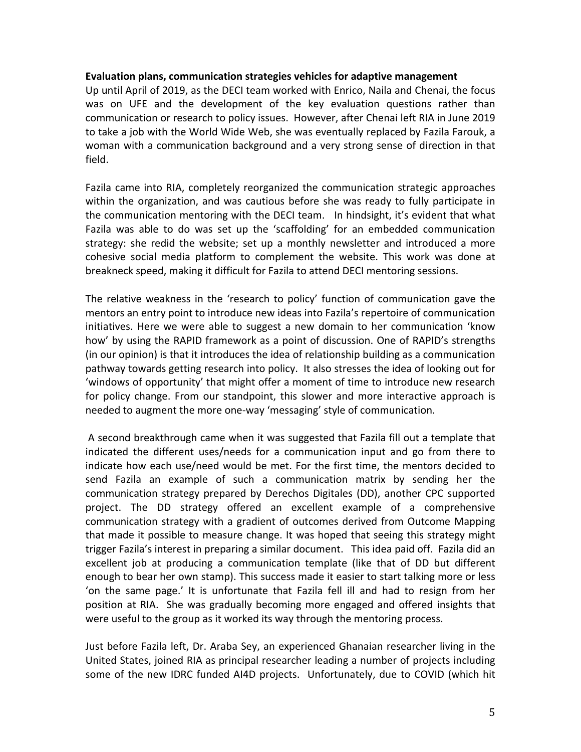#### **Evaluation plans, communication strategies vehicles for adaptive management**

Up until April of 2019, as the DECI team worked with Enrico, Naila and Chenai, the focus was on UFE and the development of the key evaluation questions rather than communication or research to policy issues. However, after Chenai left RIA in June 2019 to take a job with the World Wide Web, she was eventually replaced by Fazila Farouk, a woman with a communication background and a very strong sense of direction in that field. 

Fazila came into RIA, completely reorganized the communication strategic approaches within the organization, and was cautious before she was ready to fully participate in the communication mentoring with the DECI team. In hindsight, it's evident that what Fazila was able to do was set up the 'scaffolding' for an embedded communication strategy: she redid the website; set up a monthly newsletter and introduced a more cohesive social media platform to complement the website. This work was done at breakneck speed, making it difficult for Fazila to attend DECI mentoring sessions.

The relative weakness in the 'research to policy' function of communication gave the mentors an entry point to introduce new ideas into Fazila's repertoire of communication initiatives. Here we were able to suggest a new domain to her communication 'know how' by using the RAPID framework as a point of discussion. One of RAPID's strengths (in our opinion) is that it introduces the idea of relationship building as a communication pathway towards getting research into policy. It also stresses the idea of looking out for 'windows of opportunity' that might offer a moment of time to introduce new research for policy change. From our standpoint, this slower and more interactive approach is needed to augment the more one-way 'messaging' style of communication.

A second breakthrough came when it was suggested that Fazila fill out a template that indicated the different uses/needs for a communication input and go from there to indicate how each use/need would be met. For the first time, the mentors decided to send Fazila an example of such a communication matrix by sending her the communication strategy prepared by Derechos Digitales (DD), another CPC supported project. The DD strategy offered an excellent example of a comprehensive communication strategy with a gradient of outcomes derived from Outcome Mapping that made it possible to measure change. It was hoped that seeing this strategy might trigger Fazila's interest in preparing a similar document. This idea paid off. Fazila did an excellent job at producing a communication template (like that of DD but different enough to bear her own stamp). This success made it easier to start talking more or less 'on the same page.' It is unfortunate that Fazila fell ill and had to resign from her position at RIA. She was gradually becoming more engaged and offered insights that were useful to the group as it worked its way through the mentoring process.

Just before Fazila left, Dr. Araba Sey, an experienced Ghanaian researcher living in the United States, joined RIA as principal researcher leading a number of projects including some of the new IDRC funded AI4D projects. Unfortunately, due to COVID (which hit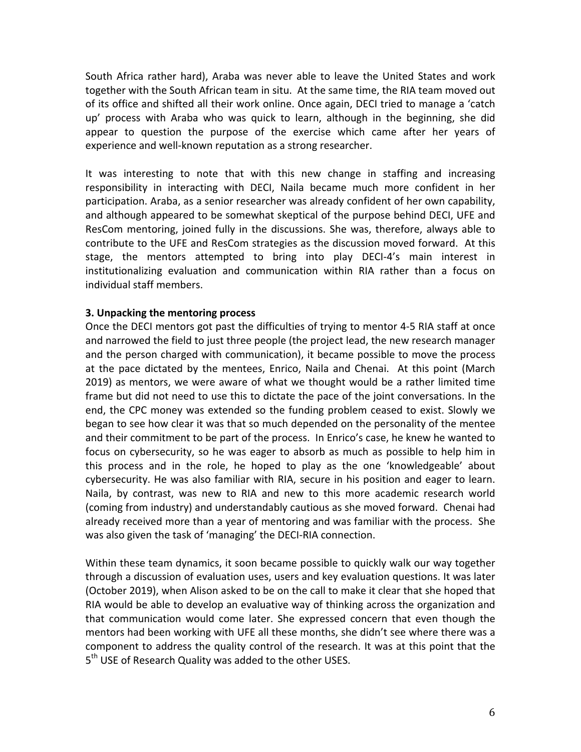South Africa rather hard), Araba was never able to leave the United States and work together with the South African team in situ. At the same time, the RIA team moved out of its office and shifted all their work online. Once again, DECI tried to manage a 'catch up' process with Araba who was quick to learn, although in the beginning, she did appear to question the purpose of the exercise which came after her years of experience and well-known reputation as a strong researcher.

It was interesting to note that with this new change in staffing and increasing responsibility in interacting with DECI, Naila became much more confident in her participation. Araba, as a senior researcher was already confident of her own capability, and although appeared to be somewhat skeptical of the purpose behind DECI, UFE and ResCom mentoring, joined fully in the discussions. She was, therefore, always able to contribute to the UFE and ResCom strategies as the discussion moved forward. At this stage, the mentors attempted to bring into play DECI-4's main interest in institutionalizing evaluation and communication within RIA rather than a focus on individual staff members.

#### **3. Unpacking the mentoring process**

Once the DECI mentors got past the difficulties of trying to mentor 4-5 RIA staff at once and narrowed the field to just three people (the project lead, the new research manager and the person charged with communication), it became possible to move the process at the pace dictated by the mentees, Enrico, Naila and Chenai. At this point (March 2019) as mentors, we were aware of what we thought would be a rather limited time frame but did not need to use this to dictate the pace of the joint conversations. In the end, the CPC money was extended so the funding problem ceased to exist. Slowly we began to see how clear it was that so much depended on the personality of the mentee and their commitment to be part of the process. In Enrico's case, he knew he wanted to focus on cybersecurity, so he was eager to absorb as much as possible to help him in this process and in the role, he hoped to play as the one 'knowledgeable' about cybersecurity. He was also familiar with RIA, secure in his position and eager to learn. Naila, by contrast, was new to RIA and new to this more academic research world (coming from industry) and understandably cautious as she moved forward. Chenai had already received more than a year of mentoring and was familiar with the process. She was also given the task of 'managing' the DECI-RIA connection.

Within these team dynamics, it soon became possible to quickly walk our way together through a discussion of evaluation uses, users and key evaluation questions. It was later (October 2019), when Alison asked to be on the call to make it clear that she hoped that RIA would be able to develop an evaluative way of thinking across the organization and that communication would come later. She expressed concern that even though the mentors had been working with UFE all these months, she didn't see where there was a component to address the quality control of the research. It was at this point that the  $5<sup>th</sup>$  USE of Research Quality was added to the other USES.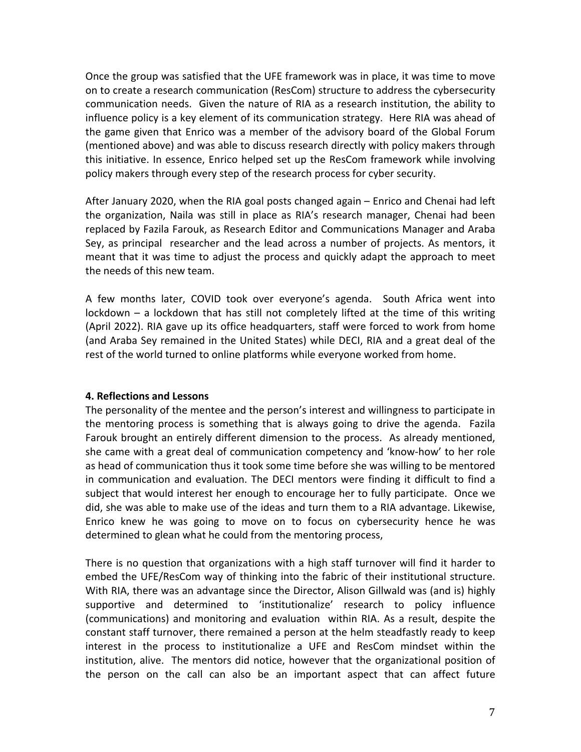Once the group was satisfied that the UFE framework was in place, it was time to move on to create a research communication (ResCom) structure to address the cybersecurity communication needs. Given the nature of RIA as a research institution, the ability to influence policy is a key element of its communication strategy. Here RIA was ahead of the game given that Enrico was a member of the advisory board of the Global Forum (mentioned above) and was able to discuss research directly with policy makers through this initiative. In essence, Enrico helped set up the ResCom framework while involving policy makers through every step of the research process for cyber security.

After January 2020, when the RIA goal posts changed again  $-$  Enrico and Chenai had left the organization, Naila was still in place as RIA's research manager, Chenai had been replaced by Fazila Farouk, as Research Editor and Communications Manager and Araba Sey, as principal researcher and the lead across a number of projects. As mentors, it meant that it was time to adjust the process and quickly adapt the approach to meet the needs of this new team.

A few months later, COVID took over everyone's agenda. South Africa went into  $lockdown - a lockdown$  that has still not completely lifted at the time of this writing (April 2022). RIA gave up its office headquarters, staff were forced to work from home (and Araba Sey remained in the United States) while DECI, RIA and a great deal of the rest of the world turned to online platforms while everyone worked from home.

### **4. Reflections and Lessons**

The personality of the mentee and the person's interest and willingness to participate in the mentoring process is something that is always going to drive the agenda. Fazila Farouk brought an entirely different dimension to the process. As already mentioned, she came with a great deal of communication competency and 'know-how' to her role as head of communication thus it took some time before she was willing to be mentored in communication and evaluation. The DECI mentors were finding it difficult to find a subject that would interest her enough to encourage her to fully participate. Once we did, she was able to make use of the ideas and turn them to a RIA advantage. Likewise, Enrico knew he was going to move on to focus on cybersecurity hence he was determined to glean what he could from the mentoring process,

There is no question that organizations with a high staff turnover will find it harder to embed the UFE/ResCom way of thinking into the fabric of their institutional structure. With RIA, there was an advantage since the Director, Alison Gillwald was (and is) highly supportive and determined to 'institutionalize' research to policy influence (communications) and monitoring and evaluation within RIA. As a result, despite the constant staff turnover, there remained a person at the helm steadfastly ready to keep interest in the process to institutionalize a UFE and ResCom mindset within the institution, alive. The mentors did notice, however that the organizational position of the person on the call can also be an important aspect that can affect future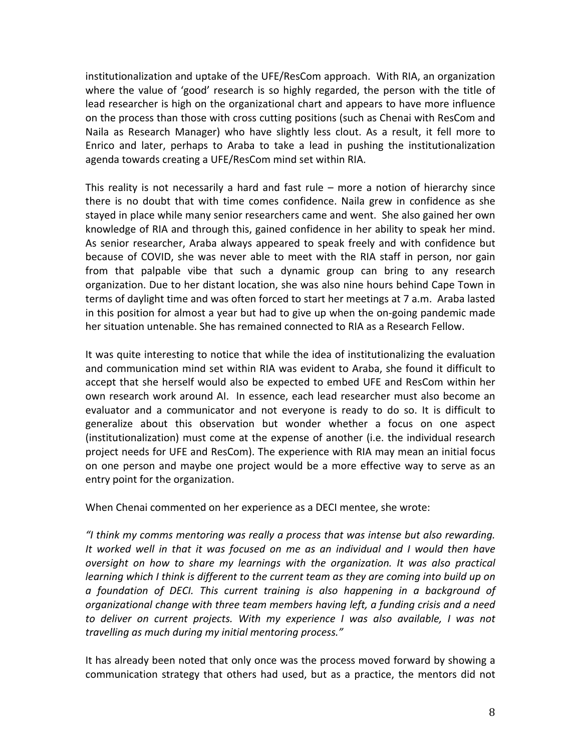institutionalization and uptake of the UFE/ResCom approach. With RIA, an organization where the value of 'good' research is so highly regarded, the person with the title of lead researcher is high on the organizational chart and appears to have more influence on the process than those with cross cutting positions (such as Chenai with ResCom and Naila as Research Manager) who have slightly less clout. As a result, it fell more to Enrico and later, perhaps to Araba to take a lead in pushing the institutionalization agenda towards creating a UFE/ResCom mind set within RIA.

This reality is not necessarily a hard and fast rule  $-$  more a notion of hierarchy since there is no doubt that with time comes confidence. Naila grew in confidence as she stayed in place while many senior researchers came and went. She also gained her own knowledge of RIA and through this, gained confidence in her ability to speak her mind. As senior researcher, Araba always appeared to speak freely and with confidence but because of COVID, she was never able to meet with the RIA staff in person, nor gain from that palpable vibe that such a dynamic group can bring to any research organization. Due to her distant location, she was also nine hours behind Cape Town in terms of daylight time and was often forced to start her meetings at 7 a.m. Araba lasted in this position for almost a year but had to give up when the on-going pandemic made her situation untenable. She has remained connected to RIA as a Research Fellow.

It was quite interesting to notice that while the idea of institutionalizing the evaluation and communication mind set within RIA was evident to Araba, she found it difficult to accept that she herself would also be expected to embed UFE and ResCom within her own research work around AI. In essence, each lead researcher must also become an evaluator and a communicator and not everyone is ready to do so. It is difficult to generalize about this observation but wonder whether a focus on one aspect (institutionalization) must come at the expense of another (i.e. the individual research project needs for UFE and ResCom). The experience with RIA may mean an initial focus on one person and maybe one project would be a more effective way to serve as an entry point for the organization.

When Chenai commented on her experience as a DECI mentee, she wrote:

"I think my comms mentoring was really a process that was intense but also rewarding. It worked well in that it was focused on me as an individual and I would then have *oversight* on how to share my learnings with the organization. It was also practical *learning* which I think is different to the current team as they are coming into build up on *a* foundation of DECI. This current training is also happening in a background of *organizational change with three team members having left, a funding crisis and a need* to deliver on current projects. With my experience I was also available, I was not *travelling as much during my initial mentoring process."*

It has already been noted that only once was the process moved forward by showing a communication strategy that others had used, but as a practice, the mentors did not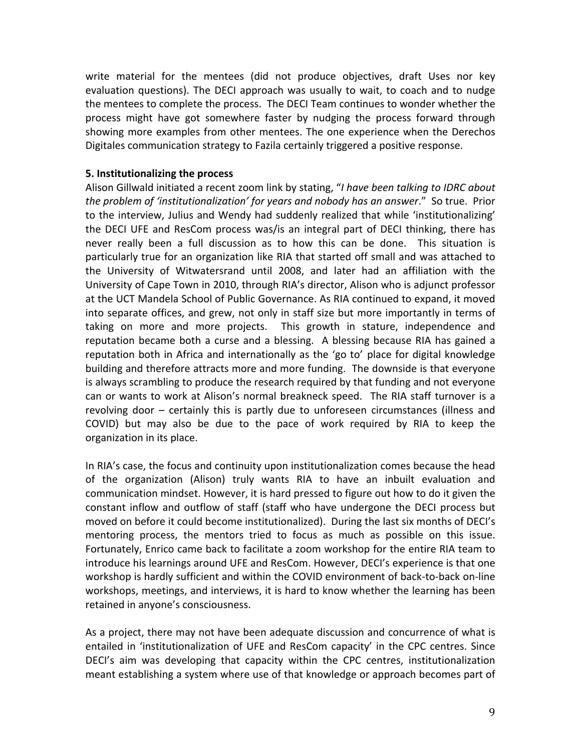write material for the mentees (did not produce objectives, draft Uses nor key evaluation questions). The DECI approach was usually to wait, to coach and to nudge the mentees to complete the process. The DECI Team continues to wonder whether the process might have got somewhere faster by nudging the process forward through showing more examples from other mentees. The one experience when the Derechos Digitales communication strategy to Fazila certainly triggered a positive response.

#### **5. Institutionalizing the process**

Alison Gillwald initiated a recent zoom link by stating, "*I have been talking to IDRC about the problem of 'institutionalization' for years and nobody has an answer."* So true. Prior to the interview, Julius and Wendy had suddenly realized that while 'institutionalizing' the DECI UFE and ResCom process was/is an integral part of DECI thinking, there has never really been a full discussion as to how this can be done. This situation is particularly true for an organization like RIA that started off small and was attached to the University of Witwatersrand until 2008, and later had an affiliation with the University of Cape Town in 2010, through RIA's director, Alison who is adjunct professor at the UCT Mandela School of Public Governance. As RIA continued to expand, it moved into separate offices, and grew, not only in staff size but more importantly in terms of taking on more and more projects. This growth in stature, independence and reputation became both a curse and a blessing. A blessing because RIA has gained a reputation both in Africa and internationally as the 'go to' place for digital knowledge building and therefore attracts more and more funding. The downside is that everyone is always scrambling to produce the research required by that funding and not everyone can or wants to work at Alison's normal breakneck speed. The RIA staff turnover is a revolving door – certainly this is partly due to unforeseen circumstances (illness and COVID) but may also be due to the pace of work required by RIA to keep the organization in its place.

In RIA's case, the focus and continuity upon institutionalization comes because the head of the organization (Alison) truly wants RIA to have an inbuilt evaluation and communication mindset. However, it is hard pressed to figure out how to do it given the constant inflow and outflow of staff (staff who have undergone the DECI process but moved on before it could become institutionalized). During the last six months of DECI's mentoring process, the mentors tried to focus as much as possible on this issue. Fortunately, Enrico came back to facilitate a zoom workshop for the entire RIA team to introduce his learnings around UFE and ResCom. However, DECI's experience is that one workshop is hardly sufficient and within the COVID environment of back-to-back on-line workshops, meetings, and interviews, it is hard to know whether the learning has been retained in anyone's consciousness.

As a project, there may not have been adequate discussion and concurrence of what is entailed in 'institutionalization of UFE and ResCom capacity' in the CPC centres. Since DECI's aim was developing that capacity within the CPC centres, institutionalization meant establishing a system where use of that knowledge or approach becomes part of